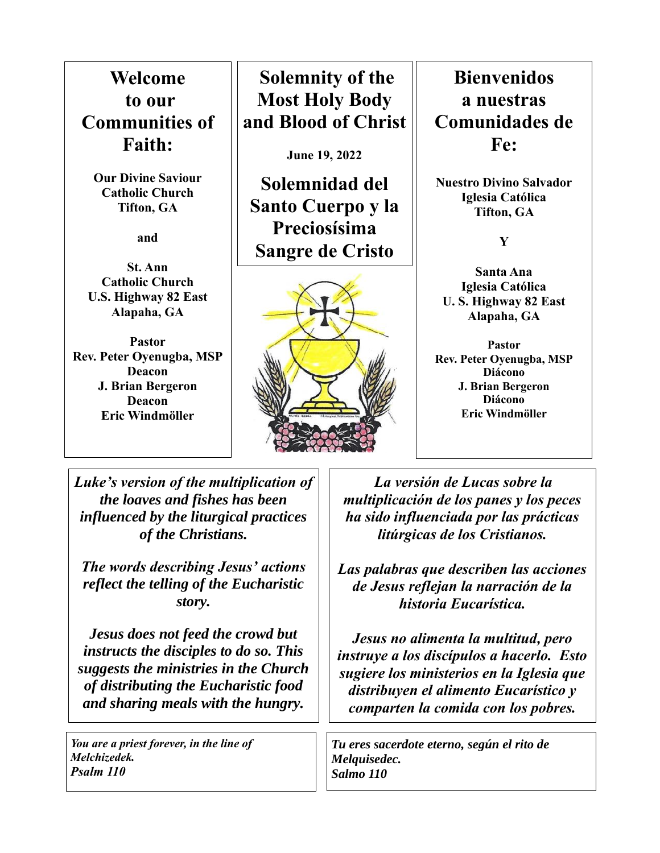**Welcome to our Communities of Faith:**

**Our Divine Saviour Catholic Church Tifton, GA**

**and**

**St. Ann Catholic Church U.S. Highway 82 East Alapaha, GA**

**Pastor Rev. Peter Oyenugba, MSP Deacon J. Brian Bergeron Deacon Eric Windmöller**

**Solemnity of the Most Holy Body and Blood of Christ**

**June 19, 2022**

**Solemnidad del Santo Cuerpo y la Preciosísima Sangre de Cristo**



**Bienvenidos a nuestras Comunidades de Fe:**

**Nuestro Divino Salvador Iglesia Católica Tifton, GA** 

**Y** 

**Santa Ana Iglesia Católica U. S. Highway 82 East Alapaha, GA**

**Pastor Rev. Peter Oyenugba, MSP Diácono J. Brian Bergeron Diácono Eric Windmöller**

*Luke's version of the multiplication of the loaves and fishes has been influenced by the liturgical practices of the Christians.*

*The words describing Jesus' actions reflect the telling of the Eucharistic story.*

*Jesus does not feed the crowd but instructs the disciples to do so. This suggests the ministries in the Church of distributing the Eucharistic food and sharing meals with the hungry.*

*You are a priest forever, in the line of Melchizedek. Psalm 110*

*La versión de Lucas sobre la multiplicación de los panes y los peces ha sido influenciada por las prácticas litúrgicas de los Cristianos.*

*Las palabras que describen las acciones de Jesus reflejan la narración de la historia Eucarística.*

*Jesus no alimenta la multitud, pero instruye a los discípulos a hacerlo. Esto sugiere los ministerios en la Iglesia que distribuyen el alimento Eucarístico y comparten la comida con los pobres.* 

*Tu eres sacerdote eterno, según el rito de Melquisedec. Salmo 110*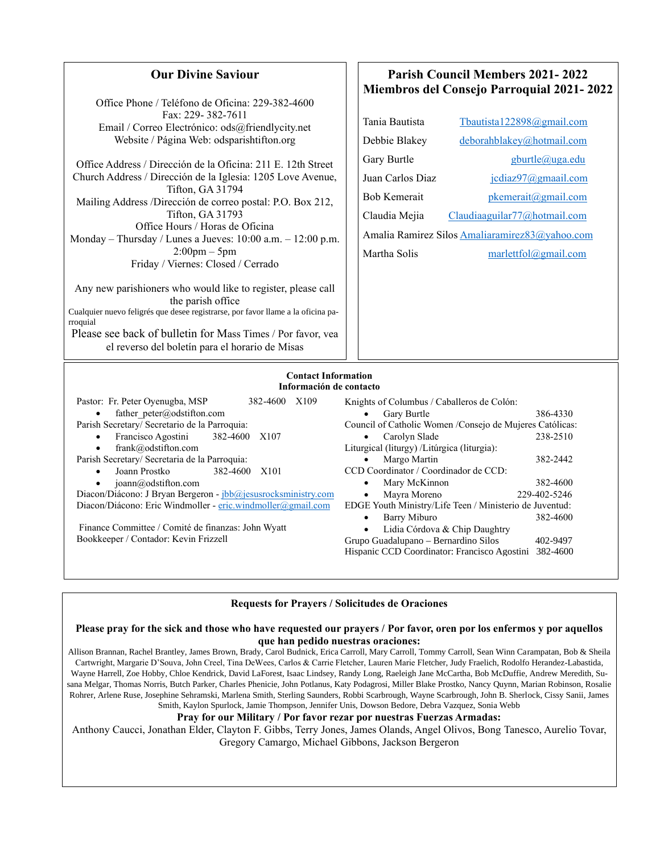| <b>Our Divine Saviour</b>                                                                                                                                                                                                                                                                                                                                                                                                                                                                                                             | <b>Parish Council Members 2021-2022</b>                                                                                                                                                                                                                                                                                                                                                                             |  |
|---------------------------------------------------------------------------------------------------------------------------------------------------------------------------------------------------------------------------------------------------------------------------------------------------------------------------------------------------------------------------------------------------------------------------------------------------------------------------------------------------------------------------------------|---------------------------------------------------------------------------------------------------------------------------------------------------------------------------------------------------------------------------------------------------------------------------------------------------------------------------------------------------------------------------------------------------------------------|--|
| Office Phone / Teléfono de Oficina: 229-382-4600<br>Fax: 229-382-7611<br>Email / Correo Electrónico: ods@friendlycity.net<br>Website / Página Web: odsparishtifton.org<br>Office Address / Dirección de la Oficina: 211 E. 12th Street<br>Church Address / Dirección de la Iglesia: 1205 Love Avenue,<br>Tifton, GA 31794<br>Mailing Address /Dirección de correo postal: P.O. Box 212,<br>Tifton, GA 31793<br>Office Hours / Horas de Oficina<br>Monday – Thursday / Lunes a Jueves: $10:00$ a.m. $-12:00$ p.m.<br>$2:00$ pm $-5$ pm | <b>Miembros del Consejo Parroquial 2021-2022</b><br>Tania Bautista<br>Tbautista122898@gmail.com<br>deborahblakey@hotmail.com<br>Debbie Blakey<br>Gary Burtle<br>gburtle@uga.edu<br>Juan Carlos Diaz<br>jcdiaz97@gmaail.com<br>pkemerait@gmail.com<br><b>Bob Kemerait</b><br>Claudia Mejia<br>Claudiaaguilar77@hotmail.com<br>Amalia Ramirez Silos Amaliaramirez83@yahoo.com<br>Martha Solis<br>marlettfol@gmail.com |  |
| Friday / Viernes: Closed / Cerrado<br>Any new parishioners who would like to register, please call<br>the parish office<br>Cualquier nuevo feligrés que desee registrarse, por favor llame a la oficina pa-<br>rroquial<br>Please see back of bulletin for Mass Times / Por favor, vea<br>el reverso del boletín para el horario de Misas                                                                                                                                                                                             |                                                                                                                                                                                                                                                                                                                                                                                                                     |  |
| <b>Contact Information</b><br>Información de contacto<br>Pastor: Fr. Peter Oyenugba, MSP<br>382-4600 X109<br>father peter@odstifton.com<br>Parish Secretary/ Secretario de la Parroquia:<br>Francisco Agostini<br>382-4600 X107                                                                                                                                                                                                                                                                                                       | Knights of Columbus / Caballeros de Colón:<br>Gary Burtle<br>386-4330<br>Council of Catholic Women /Consejo de Mujeres Católicas:<br>238-2510<br>Carolyn Slade                                                                                                                                                                                                                                                      |  |

- frank@odstifton.com
- Parish Secretary/ Secretaria de la Parroquia:
	- Joann Prostko 382-4600 X101
		- joann@odstifton.com
- Diacon/Diácono: J Bryan Bergeron [jbb@jesusrocksministry.com](about:blank) Diacon/Diácono: Eric Windmoller - [eric.windmoller@gmail.com](about:blank)

Finance Committee / Comité de finanzas: John Wyatt Bookkeeper / Contador: Kevin Frizzell

### **Requests for Prayers / Solicitudes de Oraciones**

Liturgical (liturgy) /Litúrgica (liturgia):

CCD Coordinator / Coordinador de CCD:

• Margo Martin 382-2442

EDGE Youth Ministry/Life Teen / Ministerio de Juventud:

Choir Contact : Becky Jarboe 386-4434

Lidia Córdova & Chip Daughtry Grupo Guadalupano – Bernardino Silos 402-9497 Hispanic CCD Coordinator: Francisco Agostini 382-4600

Mary McKinnon 382-4600 • Mayra Moreno 229-402-5246

• Barry Miburo 382-4600

### **Please pray for the sick and those who have requested our prayers / Por favor, oren por los enfermos y por aquellos que han pedido nuestras oraciones:**

Allison Brannan, Rachel Brantley, James Brown, Brady, Carol Budnick, Erica Carroll, Mary Carroll, Tommy Carroll, Sean Winn Carampatan, Bob & Sheila Cartwright, Margarie D'Souva, John Creel, Tina DeWees, Carlos & Carrie Fletcher, Lauren Marie Fletcher, Judy Fraelich, Rodolfo Herandez-Labastida, Wayne Harrell, Zoe Hobby, Chloe Kendrick, David LaForest, Isaac Lindsey, Randy Long, Raeleigh Jane McCartha, Bob McDuffie, Andrew Meredith, Susana Melgar, Thomas Norris, Butch Parker, Charles Phenicie, John Potlanus, Katy Podagrosi, Miller Blake Prostko, Nancy Quynn, Marian Robinson, Rosalie Rohrer, Arlene Ruse, Josephine Sehramski, Marlena Smith, Sterling Saunders, Robbi Scarbrough, Wayne Scarbrough, John B. Sherlock, Cissy Sanii, James Smith, Kaylon Spurlock, Jamie Thompson, Jennifer Unis, Dowson Bedore, Debra Vazquez, Sonia Webb

### **Pray for our Military / Por favor rezar por nuestras Fuerzas Armadas:**

Anthony Caucci, Jonathan Elder, Clayton F. Gibbs, Terry Jones, James Olands, Angel Olivos, Bong Tanesco, Aurelio Tovar, Gregory Camargo, Michael Gibbons, Jackson Bergeron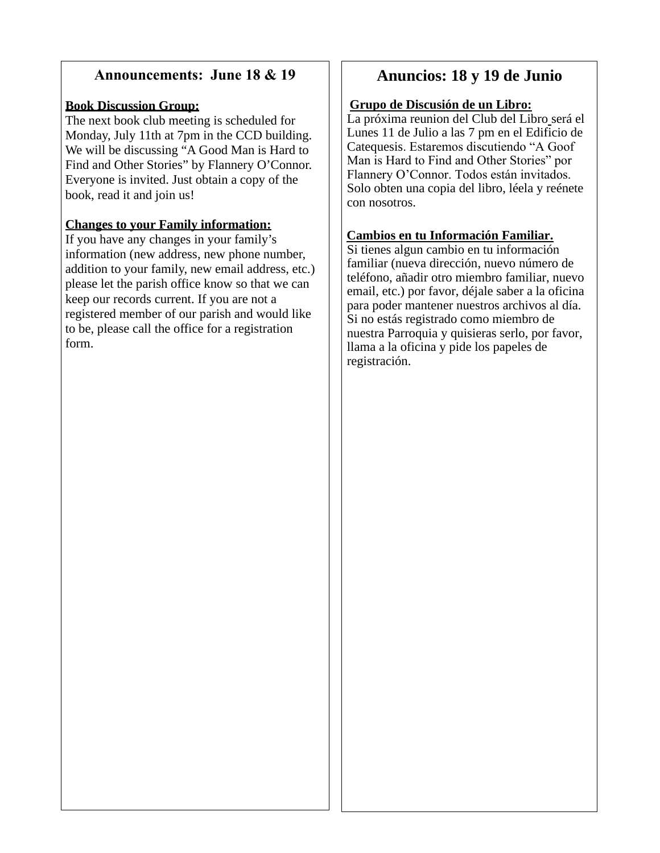## **Announcements: June 18 & 19**

## **Book Discussion Group:**

The next book club meeting is scheduled for Monday, July 11th at 7pm in the CCD building. We will be discussing "A Good Man is Hard to Find and Other Stories" by Flannery O'Connor. Everyone is invited. Just obtain a copy of the book, read it and join us!

## **Changes to your Family information:**

If you have any changes in your family's information (new address, new phone number, addition to your family, new email address, etc.) please let the parish office know so that we can keep our records current. If you are not a registered member of our parish and would like to be, please call the office for a registration form.

## **Anuncios: 18 y 19 de Junio**

### **Grupo de Discusión de un Libro:**

La próxima reunion del Club del Libro será el Lunes 11 de Julio a las 7 pm en el Edificio de Catequesis. Estaremos discutiendo "A Goof Man is Hard to Find and Other Stories" por Flannery O'Connor. Todos están invitados. Solo obten una copia del libro, léela y reénete con nosotros.

## **Cambios en tu Información Familiar.**

Si tienes algun cambio en tu información familiar (nueva dirección, nuevo número de teléfono, añadir otro miembro familiar, nuevo email, etc.) por favor, déjale saber a la oficina para poder mantener nuestros archivos al día. Si no estás registrado como miembro de nuestra Parroquia y quisieras serlo, por favor, llama a la oficina y pide los papeles de registración.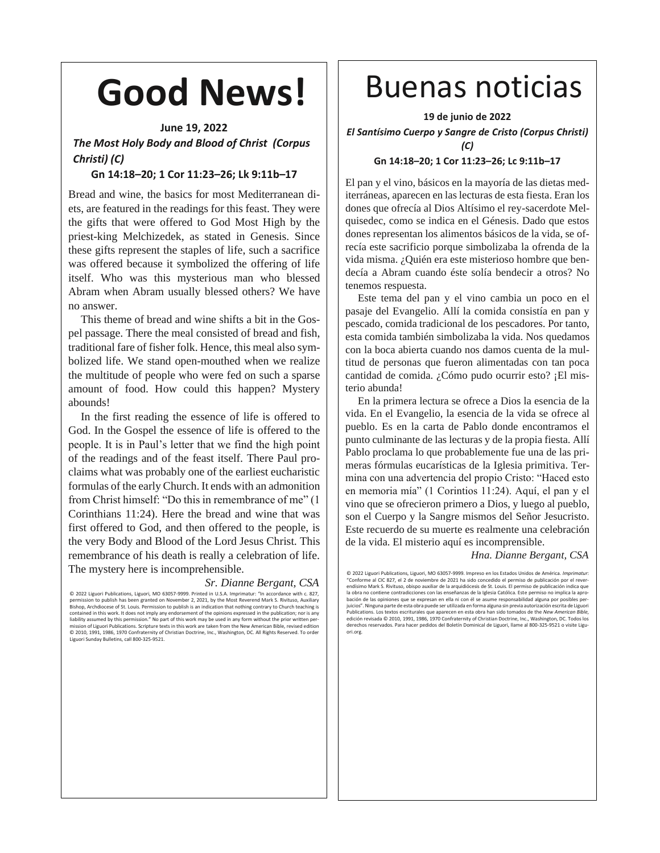# **Good News!**

### **June 19, 2022**

*The Most Holy Body and Blood of Christ (Corpus Christi) (C)*

### **Gn 14:18–20; 1 Cor 11:23–26; Lk 9:11b–17**

Bread and wine, the basics for most Mediterranean diets, are featured in the readings for this feast. They were the gifts that were offered to God Most High by the priest-king Melchizedek, as stated in Genesis. Since these gifts represent the staples of life, such a sacrifice was offered because it symbolized the offering of life itself. Who was this mysterious man who blessed Abram when Abram usually blessed others? We have no answer.

This theme of bread and wine shifts a bit in the Gospel passage. There the meal consisted of bread and fish, traditional fare of fisher folk. Hence, this meal also symbolized life. We stand open-mouthed when we realize the multitude of people who were fed on such a sparse amount of food. How could this happen? Mystery abounds!

In the first reading the essence of life is offered to God. In the Gospel the essence of life is offered to the people. It is in Paul's letter that we find the high point of the readings and of the feast itself. There Paul proclaims what was probably one of the earliest eucharistic formulas of the early Church. It ends with an admonition from Christ himself: "Do this in remembrance of me" (1 Corinthians 11:24). Here the bread and wine that was first offered to God, and then offered to the people, is the very Body and Blood of the Lord Jesus Christ. This remembrance of his death is really a celebration of life. The mystery here is incomprehensible.

### *Sr. Dianne Bergant, CSA*

© 2022 Liguori Publications, Liguori, MO 63057-9999. Printed in U.S.A. Imprimatur: "In accordance with c. 827,<br>permission to publish has been granted on November 2, 2021, by the Most Reverend Mark S. Rivituso, Auxiliary<br>Bi contained in this work. It does not imply any endorsement of the opinions expressed in the publication; nor is any liability assumed by this permission." No part of this work may be used in any form without the prior written per-<br>mission of Liguori Publications. Scripture texts in this work are taken from the New American Bible, revise © 2010, 1991, 1986, 1970 Confraternity of Christian Doctrine, Inc., Washington, DC. All Rights Reserved. To order Liguori Sunday Bulletins, call 800-325-9521.

## Buenas noticias

**19 de junio de 2022**

*El Santísimo Cuerpo y Sangre de Cristo (Corpus Christi) (C)*

### **Gn 14:18–20; 1 Cor 11:23–26; Lc 9:11b–17**

El pan y el vino, básicos en la mayoría de las dietas mediterráneas, aparecen en las lecturas de esta fiesta. Eran los dones que ofrecía al Dios Altísimo el rey-sacerdote Melquisedec, como se indica en el Génesis. Dado que estos dones representan los alimentos básicos de la vida, se ofrecía este sacrificio porque simbolizaba la ofrenda de la vida misma. ¿Quién era este misterioso hombre que bendecía a Abram cuando éste solía bendecir a otros? No tenemos respuesta.

Este tema del pan y el vino cambia un poco en el pasaje del Evangelio. Allí la comida consistía en pan y pescado, comida tradicional de los pescadores. Por tanto, esta comida también simbolizaba la vida. Nos quedamos con la boca abierta cuando nos damos cuenta de la multitud de personas que fueron alimentadas con tan poca cantidad de comida. ¿Cómo pudo ocurrir esto? ¡El misterio abunda!

En la primera lectura se ofrece a Dios la esencia de la vida. En el Evangelio, la esencia de la vida se ofrece al pueblo. Es en la carta de Pablo donde encontramos el punto culminante de las lecturas y de la propia fiesta. Allí Pablo proclama lo que probablemente fue una de las primeras fórmulas eucarísticas de la Iglesia primitiva. Termina con una advertencia del propio Cristo: "Haced esto en memoria mía" (1 Corintios 11:24). Aquí, el pan y el vino que se ofrecieron primero a Dios, y luego al pueblo, son el Cuerpo y la Sangre mismos del Señor Jesucristo. Este recuerdo de su muerte es realmente una celebración de la vida. El misterio aquí es incomprensible.

*Hna. Dianne Bergant, CSA*

© 2022 Liguori Publications, Liguori, MO 63057-9999. Impreso en los Estados Unidos de América. *Imprimotur:*<br>"Conforme al CIC 827, el 2 de noviembre de 2021 ha sido concedido el permiso de publicación por el rever-<br>endísim la obra no contiene contradicciones con las enseñanzas de la Iglesia Católica. Este permiso no implica la aprobación de las opiniones que se expresan en ella ni con él se asume responsabilidad alguna por posibles per-juicios". Ninguna parte de esta obra puede ser utilizada en forma alguna sin previa autorización escrita de Liguori Publications. Los textos escriturales que aparecen en esta obra han sido tomados de the *New American Bible*, edición revisada © 2010, 1991, 1986, 1970 Confraternity of Christian Doctrine, Inc., Washington, DC. Todos los derechos reservados. Para hacer pedidos del Boletín Dominical de Liguori, llame al 800-325-9521 o visite Liguori.org.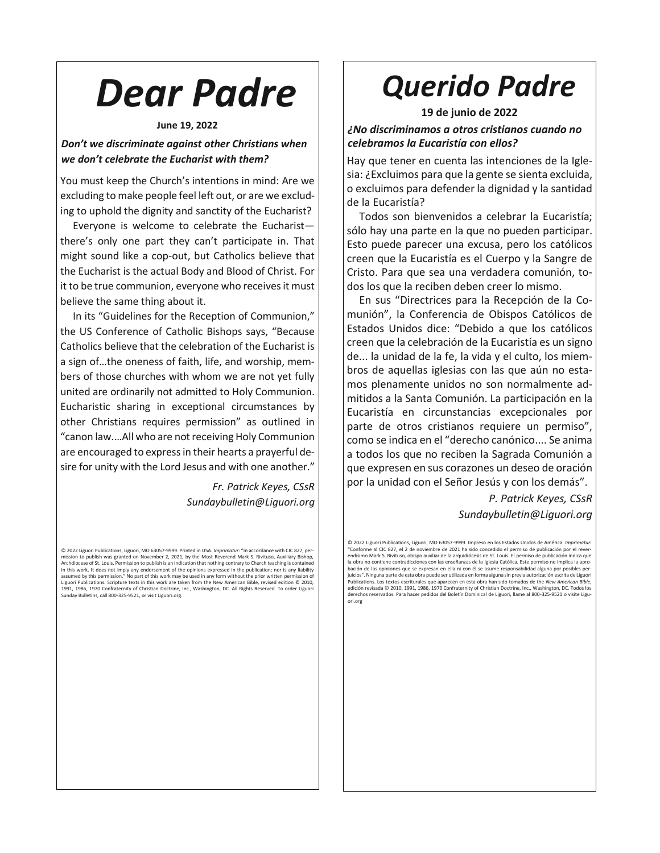# *Dear Padre*

### **June 19, 2022**

### *Don't we discriminate against other Christians when we don't celebrate the Eucharist with them?*

You must keep the Church's intentions in mind: Are we excluding to make people feel left out, or are we excluding to uphold the dignity and sanctity of the Eucharist?

Everyone is welcome to celebrate the Eucharist there's only one part they can't participate in. That might sound like a cop-out, but Catholics believe that the Eucharist is the actual Body and Blood of Christ. For it to be true communion, everyone who receives it must believe the same thing about it.

In its "Guidelines for the Reception of Communion," the US Conference of Catholic Bishops says, "Because Catholics believe that the celebration of the Eucharist is a sign of…the oneness of faith, life, and worship, members of those churches with whom we are not yet fully united are ordinarily not admitted to Holy Communion. Eucharistic sharing in exceptional circumstances by other Christians requires permission" as outlined in "canon law.…All who are not receiving Holy Communion are encouraged to express in their hearts a prayerful desire for unity with the Lord Jesus and with one another."

> *Fr. Patrick Keyes, CSsR Sundaybulletin@Liguori.org*

## *Querido Padre*

**19 de junio de 2022**

*¿No discriminamos a otros cristianos cuando no celebramos la Eucaristía con ellos?*

Hay que tener en cuenta las intenciones de la Iglesia: ¿Excluimos para que la gente se sienta excluida, o excluimos para defender la dignidad y la santidad de la Eucaristía?

Todos son bienvenidos a celebrar la Eucaristía; sólo hay una parte en la que no pueden participar. Esto puede parecer una excusa, pero los católicos creen que la Eucaristía es el Cuerpo y la Sangre de Cristo. Para que sea una verdadera comunión, todos los que la reciben deben creer lo mismo.

En sus "Directrices para la Recepción de la Comunión", la Conferencia de Obispos Católicos de Estados Unidos dice: "Debido a que los católicos creen que la celebración de la Eucaristía es un signo de... la unidad de la fe, la vida y el culto, los miembros de aquellas iglesias con las que aún no estamos plenamente unidos no son normalmente admitidos a la Santa Comunión. La participación en la Eucaristía en circunstancias excepcionales por parte de otros cristianos requiere un permiso", como se indica en el "derecho canónico.... Se anima a todos los que no reciben la Sagrada Comunión a que expresen en sus corazones un deseo de oración por la unidad con el Señor Jesús y con los demás".

> *P. Patrick Keyes, CSsR Sundaybulletin@Liguori.org*

© 2022 Liguori Publications, Liguori, MO 63057-9999. Impreso en los Estados Unidos de América. *Imprimatur*:<br>"Conforme al CIC 827, el 2 de noviembre de 2021 ha sido concedido el permiso de publicación por el reverendísimo Mark S. Rivituso, obispo auxiliar de la arquidiócesis de St. Louis. El permiso de publicación indica que la obra no contiene contradicciones con las enseñanzas de la Iglesia Católica. Este permiso no implica la apro-bación de las opiniones que se expresan en ella ni con él se asume responsabilidad alguna por posibles perjuicios". Ninguna parte de esta obra puede ser utilizada en forma alguna sin previa autorización escrita de Liguori Publications. Los textos escriturales que aparecen en esta obra han sido tomados de the *New American Bible*, edición revisada © 2010, 1991, 1986, 1970 Confraternity of Christian Doctrine, Inc., Washington, DC. Todos los derechos reservados. Para hacer pedidos del Boletín Dominical de Liguori, llame al 800-325-9521 o visite Liguori.org

<sup>© 2022</sup> Liguori Publications, Liguori, MO 63057-9999. Printed in USA. *Imprimatur: "*In accordance with CIC 827, per-<br>mission to publish was granted on November 2, 2021, by the Most Reverend Mark S. Rivituso, Auxiliary Bish in this work. It does not imply any endorsement of the opinions expressed in the publication; nor is any liability assumed by this permission." No part of this work may be used in any form without the prior written permission of<br>Liguori Publications. Scripture texts in this work are taken from the New American Bible, revised edition © Sunday Bulletins, call 800-325-9521, or visit Liguori.org.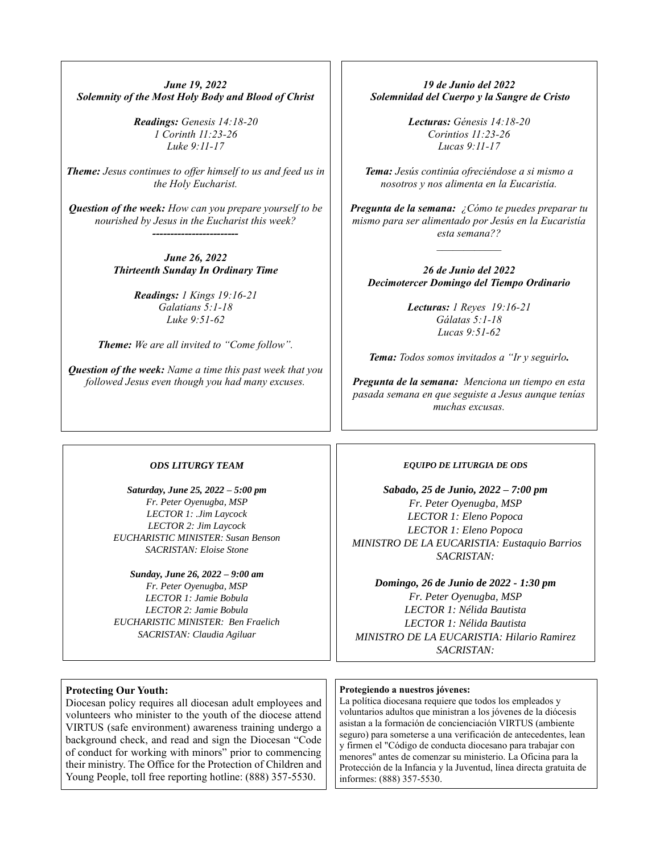*June 19, 2022 Solemnity of the Most Holy Body and Blood of Christ*

> *Readings: Genesis 14:18-20 1 Corinth 11:23-26 Luke 9:11-17*

*Theme: Jesus continues to offer himself to us and feed us in the Holy Eucharist.*

*Question of the week: How can you prepare yourself to be nourished by Jesus in the Eucharist this week? ------------------------*

> *June 26, 2022 Thirteenth Sunday In Ordinary Time*

> > *Readings: 1 Kings 19:16-21 Galatians 5:1-18 Luke 9:51-62*

*Theme: We are all invited to "Come follow".*

*Question of the week: Name a time this past week that you followed Jesus even though you had many excuses.*

*19 de Junio del 2022 Solemnidad del Cuerpo y la Sangre de Cristo*

> *Lecturas: Génesis 14:18-20 Corintios 11:23-26 Lucas 9:11-17*

*Tema: Jesús continúa ofreciéndose a si mismo a nosotros y nos alimenta en la Eucaristía.*

*Pregunta de la semana: ¿Cómo te puedes preparar tu mismo para ser alimentado por Jesús en la Eucaristía esta semana??*

*\_\_\_\_\_\_\_\_\_\_\_\_*

*26 de Junio del 2022 Decimotercer Domingo del Tiempo Ordinario*

> *Lecturas: 1 Reyes 19:16-21 Gálatas 5:1-18 Lucas 9:51-62*

*Tema: Todos somos invitados a "Ir y seguirlo.*

*Pregunta de la semana: Menciona un tiempo en esta pasada semana en que seguiste a Jesus aunque tenías muchas excusas.*

#### *ODS LITURGY TEAM*

*Saturday, June 25, 2022 – 5:00 pm Fr. Peter Oyenugba, MSP LECTOR 1: .Jim Laycock LECTOR 2: Jim Laycock EUCHARISTIC MINISTER: Susan Benson SACRISTAN: Eloise Stone* 

*Sunday, June 26, 2022 – 9:00 am Fr. Peter Oyenugba, MSP LECTOR 1: Jamie Bobula LECTOR 2: Jamie Bobula EUCHARISTIC MINISTER: Ben Fraelich SACRISTAN: Claudia Agiluar*

#### *EQUIPO DE LITURGIA DE ODS*

*Sabado, 25 de Junio, 2022 – 7:00 pm Fr. Peter Oyenugba, MSP LECTOR 1: Eleno Popoca LECTOR 1: Eleno Popoca MINISTRO DE LA EUCARISTIA: Eustaquio Barrios SACRISTAN:* 

*Domingo, 26 de Junio de 2022 - 1:30 pm Fr. Peter Oyenugba, MSP LECTOR 1: Nélida Bautista LECTOR 1: Nélida Bautista MINISTRO DE LA EUCARISTIA: Hilario Ramirez SACRISTAN:* 

### **Protecting Our Youth:**

Diocesan policy requires all diocesan adult employees and volunteers who minister to the youth of the diocese attend VIRTUS (safe environment) awareness training undergo a background check, and read and sign the Diocesan "Code of conduct for working with minors" prior to commencing their ministry. The Office for the Protection of Children and Young People, toll free reporting hotline: (888) 357-5530.

### **Protegiendo a nuestros jóvenes:**

La política diocesana requiere que todos los empleados y voluntarios adultos que ministran a los jóvenes de la diócesis asistan a la formación de concienciación VIRTUS (ambiente seguro) para someterse a una verificación de antecedentes, lean y firmen el "Código de conducta diocesano para trabajar con menores" antes de comenzar su ministerio. La Oficina para la Protección de la Infancia y la Juventud, línea directa gratuita de informes: (888) 357-5530.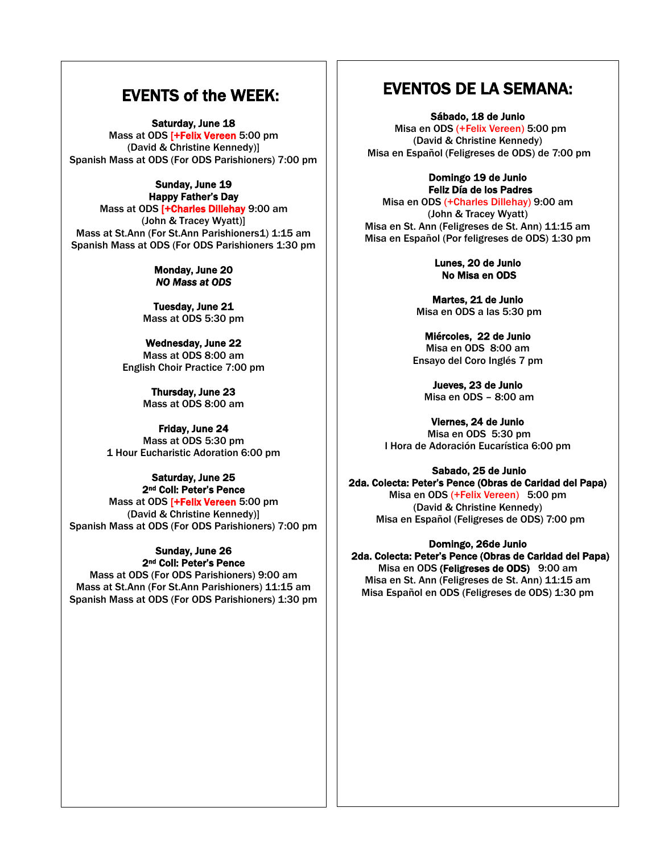## EVENTS of the WEEK:

Saturday, June 18

Mass at ODS [+Felix Vereen 5:00 pm (David & Christine Kennedy)] Spanish Mass at ODS (For ODS Parishioners) 7:00 pm

### Sunday, June 19 Happy Father's Day

Mass at ODS [+Charles Dillehay 9:00 am (John & Tracey Wyatt)] Mass at St.Ann (For St.Ann Parishioners1) 1:15 am Spanish Mass at ODS (For ODS Parishioners 1:30 pm

### Monday, June 20 *NO Mass at ODS*

Tuesday, June 21 Mass at ODS 5:30 pm

Wednesday, June 22 Mass at ODS 8:00 am English Choir Practice 7:00 pm

> Thursday, June 23 Mass at ODS 8:00 am

### Friday, June 24

Mass at ODS 5:30 pm 1 Hour Eucharistic Adoration 6:00 pm

### Saturday, June 25 2nd Coll: Peter's Pence

Mass at ODS [+Felix Vereen 5:00 pm (David & Christine Kennedy)] Spanish Mass at ODS (For ODS Parishioners) 7:00 pm

### Sunday, June 26 2nd Coll: Peter's Pence

Mass at ODS (For ODS Parishioners) 9:00 am Mass at St.Ann (For St.Ann Parishioners) 11:15 am Spanish Mass at ODS (For ODS Parishioners) 1:30 pm

## EVENTOS DE LA SEMANA:

Sábado, 18 de Junio

Misa en ODS (+Felix Vereen) 5:00 pm (David & Christine Kennedy) Misa en Español (Feligreses de ODS) de 7:00 pm

> Domingo 19 de Junio Feliz Día de los Padres

Misa en ODS (+Charles Dillehay) 9:00 am (John & Tracey Wyatt) Misa en St. Ann (Feligreses de St. Ann) 11:15 am Misa en Español (Por feligreses de ODS) 1:30 pm

> Lunes, 20 de Junio No Misa en ODS

Martes, 21 de Junio Misa en ODS a las 5:30 pm

Miércoles, 22 de Junio Misa en ODS 8:00 am Ensayo del Coro Inglés 7 pm

Jueves, 23 de Junio Misa en ODS – 8:00 am

Viernes, 24 de Junio Misa en ODS 5:30 pm I Hora de Adoración Eucarística 6:00 pm

### Sabado, 25 de Junio

2da. Colecta: Peter's Pence (Obras de Caridad del Papa) Misa en ODS (+Felix Vereen) 5:00 pm (David & Christine Kennedy) Misa en Español (Feligreses de ODS) 7:00 pm

### Domingo, 26de Junio

 2da. Colecta: Peter's Pence (Obras de Caridad del Papa) Misa en ODS (Feligreses de ODS) 9:00 am Misa en St. Ann (Feligreses de St. Ann) 11:15 am Misa Español en ODS (Feligreses de ODS) 1:30 pm